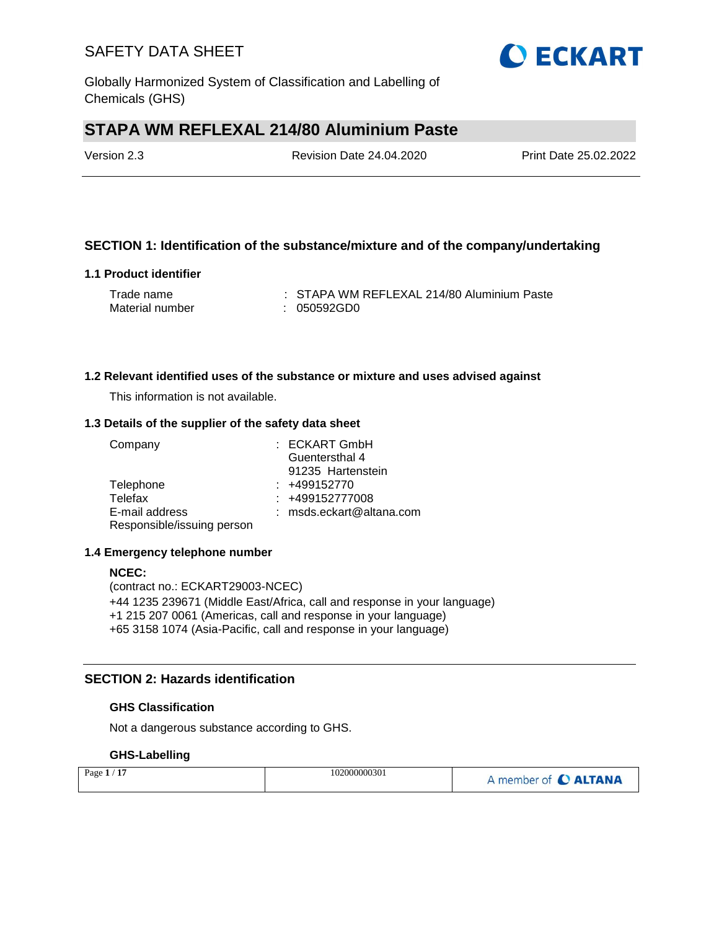Globally Harmonized System of Classification and Labelling of Chemicals (GHS)

# **STAPA WM REFLEXAL 214/80 Aluminium Paste**

Version 2.3 Revision Date 24.04.2020 Print Date 25.02.2022

### **SECTION 1: Identification of the substance/mixture and of the company/undertaking**

#### **1.1 Product identifier**

| Trade name      | : STAPA WM REFLEXAL 214/80 Aluminium Paste |
|-----------------|--------------------------------------------|
| Material number | : 050592GD0                                |

#### **1.2 Relevant identified uses of the substance or mixture and uses advised against**

This information is not available.

#### **1.3 Details of the supplier of the safety data sheet**

| Company                    | : ECKART GmbH            |
|----------------------------|--------------------------|
|                            | Guentersthal 4           |
|                            | 91235 Hartenstein        |
| Telephone                  | $: +499152770$           |
| Telefax                    | $: +499152777008$        |
| E-mail address             | : msds.eckart@altana.com |
| Responsible/issuing person |                          |

#### **1.4 Emergency telephone number**

#### **NCEC:**

(contract no.: ECKART29003-NCEC) +44 1235 239671 (Middle East/Africa, call and response in your language) +1 215 207 0061 (Americas, call and response in your language) +65 3158 1074 (Asia-Pacific, call and response in your language)

### **SECTION 2: Hazards identification**

#### **GHS Classification**

Not a dangerous substance according to GHS.

### **GHS-Labelling**

| Page $1/17$ | 102000000301 | A member of C ALTANA |
|-------------|--------------|----------------------|
|-------------|--------------|----------------------|

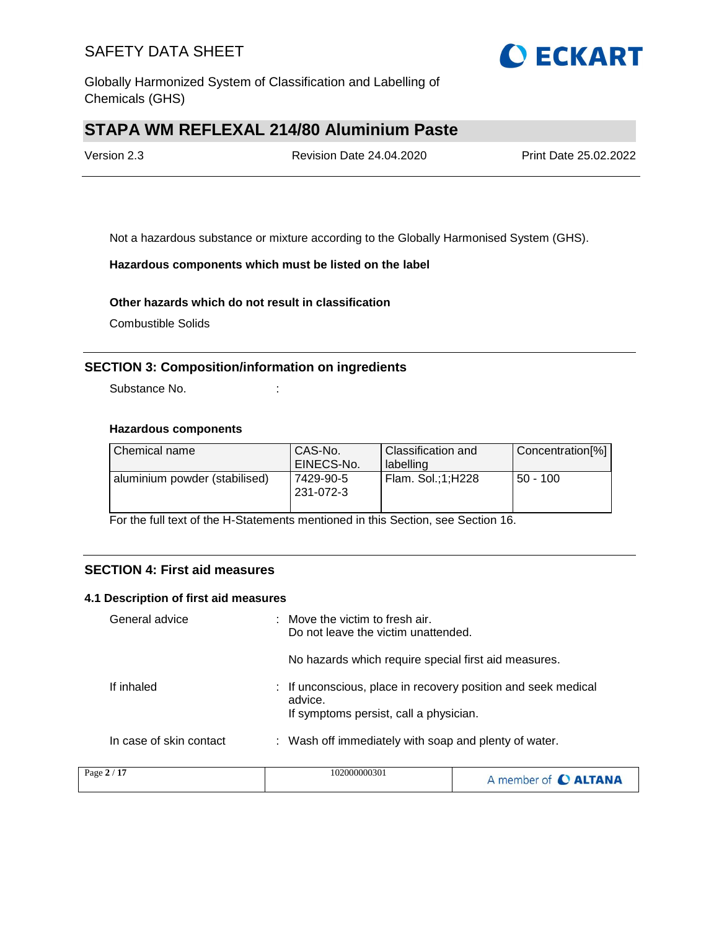

Globally Harmonized System of Classification and Labelling of Chemicals (GHS)

# **STAPA WM REFLEXAL 214/80 Aluminium Paste**

| Version 2.3 | <b>Revision Date 24.04.2020</b> | Print Date 25.02.2022 |
|-------------|---------------------------------|-----------------------|
|             |                                 |                       |

Not a hazardous substance or mixture according to the Globally Harmonised System (GHS).

#### **Hazardous components which must be listed on the label**

#### **Other hazards which do not result in classification**

Combustible Solids

### **SECTION 3: Composition/information on ingredients**

Substance No. **:** : :

### **Hazardous components**

| Chemical name                 | CAS-No.<br>EINECS-No.  | Classification and<br>labelling | Concentration[%] |
|-------------------------------|------------------------|---------------------------------|------------------|
| aluminium powder (stabilised) | 7429-90-5<br>231-072-3 | Flam. Sol.:1:H228               | $50 - 100$       |

For the full text of the H-Statements mentioned in this Section, see Section 16.

## **SECTION 4: First aid measures**

#### **4.1 Description of first aid measures**

| General advice          | : Move the victim to fresh air.<br>Do not leave the victim unattended.                                             |
|-------------------------|--------------------------------------------------------------------------------------------------------------------|
|                         | No hazards which require special first aid measures.                                                               |
| If inhaled              | : If unconscious, place in recovery position and seek medical<br>advice.<br>If symptoms persist, call a physician. |
| In case of skin contact | : Wash off immediately with soap and plenty of water.                                                              |
| 3.217                   | 102000000201                                                                                                       |

| Page 2 / 17 | 102000000301 | A member of C ALTANA |
|-------------|--------------|----------------------|
|-------------|--------------|----------------------|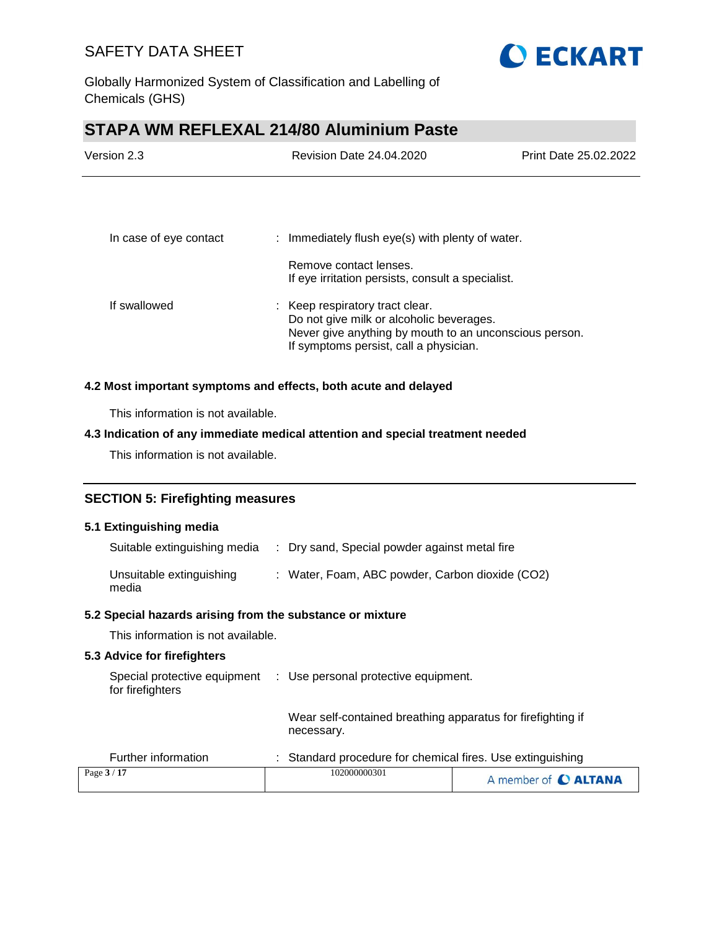

Globally Harmonized System of Classification and Labelling of Chemicals (GHS)

# **STAPA WM REFLEXAL 214/80 Aluminium Paste**

| Version 2.3            | Revision Date 24.04.2020                                                                                                                                                        | Print Date 25.02.2022 |
|------------------------|---------------------------------------------------------------------------------------------------------------------------------------------------------------------------------|-----------------------|
|                        |                                                                                                                                                                                 |                       |
| In case of eye contact | : Immediately flush eye(s) with plenty of water.                                                                                                                                |                       |
|                        | Remove contact lenses.<br>If eye irritation persists, consult a specialist.                                                                                                     |                       |
| If swallowed           | : Keep respiratory tract clear.<br>Do not give milk or alcoholic beverages.<br>Never give anything by mouth to an unconscious person.<br>If symptoms persist, call a physician. |                       |

#### **4.2 Most important symptoms and effects, both acute and delayed**

This information is not available.

#### **4.3 Indication of any immediate medical attention and special treatment needed**

This information is not available.

## **SECTION 5: Firefighting measures**

#### **5.1 Extinguishing media**

| Suitable extinguishing media      | : Dry sand, Special powder against metal fire   |
|-----------------------------------|-------------------------------------------------|
| Unsuitable extinguishing<br>media | : Water, Foam, ABC powder, Carbon dioxide (CO2) |

#### **5.2 Special hazards arising from the substance or mixture**

This information is not available.

### **5.3 Advice for firefighters**

| for firefighters    |  | Special protective equipment : Use personal protective equipment.         |
|---------------------|--|---------------------------------------------------------------------------|
|                     |  | Wear self-contained breathing apparatus for firefighting if<br>necessary. |
| Further information |  | : Standard procedure for chemical fires. Use extinguishing                |

| Page 3 / 17 | 102000000301 | A member of C ALTANA |
|-------------|--------------|----------------------|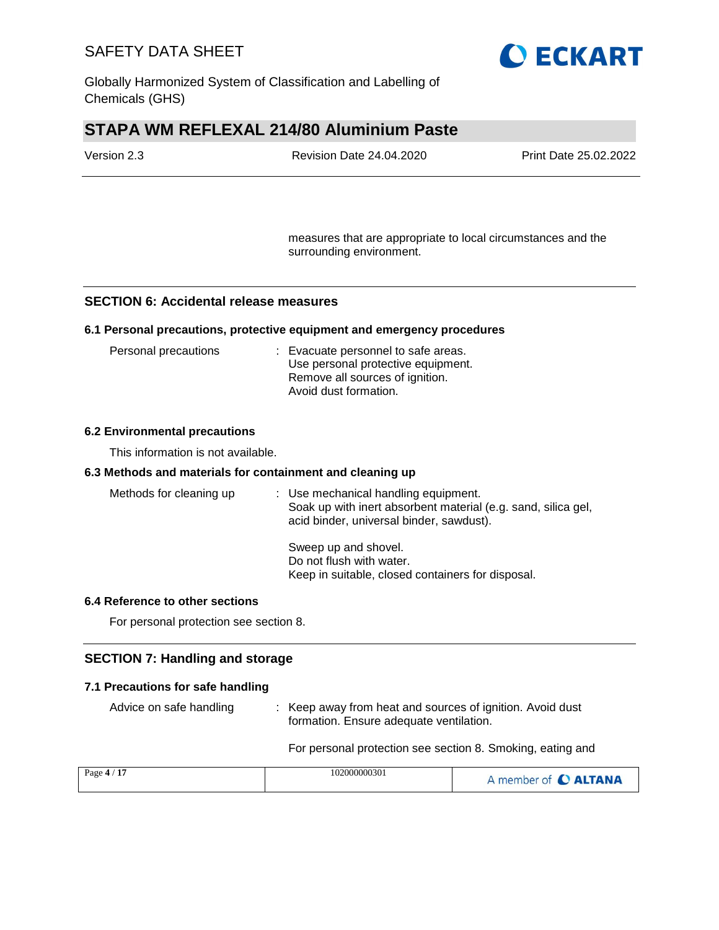

Globally Harmonized System of Classification and Labelling of Chemicals (GHS)

# **STAPA WM REFLEXAL 214/80 Aluminium Paste**

| Version 2.3 | <b>Revision Date 24.04.2020</b> | <b>Print Date 25.02.2022</b> |
|-------------|---------------------------------|------------------------------|
|             |                                 |                              |

measures that are appropriate to local circumstances and the surrounding environment.

#### **SECTION 6: Accidental release measures**

#### **6.1 Personal precautions, protective equipment and emergency procedures**

| Personal precautions | : Evacuate personnel to safe areas. |
|----------------------|-------------------------------------|
|                      | Use personal protective equipment.  |
|                      | Remove all sources of ignition.     |
|                      | Avoid dust formation.               |

#### **6.2 Environmental precautions**

This information is not available.

#### **6.3 Methods and materials for containment and cleaning up**

| Methods for cleaning up | : Use mechanical handling equipment.<br>Soak up with inert absorbent material (e.g. sand, silica gel,<br>acid binder, universal binder, sawdust). |
|-------------------------|---------------------------------------------------------------------------------------------------------------------------------------------------|
|                         | Sweep up and shovel.<br>Do not flush with water.<br>Keep in suitable, closed containers for disposal.                                             |

#### **6.4 Reference to other sections**

For personal protection see section 8.

### **SECTION 7: Handling and storage**

#### **7.1 Precautions for safe handling**

Advice on safe handling : Keep away from heat and sources of ignition. Avoid dust formation. Ensure adequate ventilation.

For personal protection see section 8. Smoking, eating and

| Page $4/17$ | 102000000301 | A member of C ALTANA |
|-------------|--------------|----------------------|
|             |              |                      |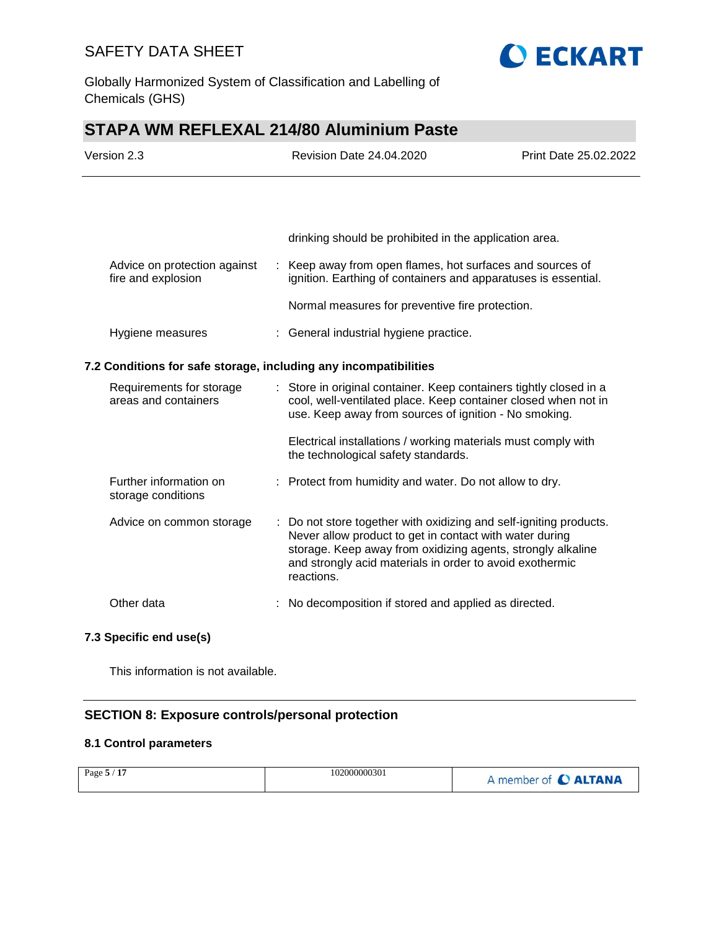

Globally Harmonized System of Classification and Labelling of Chemicals (GHS)

# **STAPA WM REFLEXAL 214/80 Aluminium Paste**

| Version 2.3                                                                                                                                                                                                                                       |  | <b>Revision Date 24.04.2020</b>                                                                                                                                                                                                                                      | Print Date 25.02.2022 |
|---------------------------------------------------------------------------------------------------------------------------------------------------------------------------------------------------------------------------------------------------|--|----------------------------------------------------------------------------------------------------------------------------------------------------------------------------------------------------------------------------------------------------------------------|-----------------------|
|                                                                                                                                                                                                                                                   |  |                                                                                                                                                                                                                                                                      |                       |
|                                                                                                                                                                                                                                                   |  | drinking should be prohibited in the application area.                                                                                                                                                                                                               |                       |
| Advice on protection against<br>fire and explosion                                                                                                                                                                                                |  | : Keep away from open flames, hot surfaces and sources of<br>ignition. Earthing of containers and apparatuses is essential.                                                                                                                                          |                       |
|                                                                                                                                                                                                                                                   |  | Normal measures for preventive fire protection.                                                                                                                                                                                                                      |                       |
| Hygiene measures                                                                                                                                                                                                                                  |  | : General industrial hygiene practice.                                                                                                                                                                                                                               |                       |
| 7.2 Conditions for safe storage, including any incompatibilities                                                                                                                                                                                  |  |                                                                                                                                                                                                                                                                      |                       |
| Requirements for storage<br>: Store in original container. Keep containers tightly closed in a<br>areas and containers<br>cool, well-ventilated place. Keep container closed when not in<br>use. Keep away from sources of ignition - No smoking. |  |                                                                                                                                                                                                                                                                      |                       |
|                                                                                                                                                                                                                                                   |  | Electrical installations / working materials must comply with<br>the technological safety standards.                                                                                                                                                                 |                       |
| Further information on<br>storage conditions                                                                                                                                                                                                      |  | : Protect from humidity and water. Do not allow to dry.                                                                                                                                                                                                              |                       |
| Advice on common storage                                                                                                                                                                                                                          |  | Do not store together with oxidizing and self-igniting products.<br>Never allow product to get in contact with water during<br>storage. Keep away from oxidizing agents, strongly alkaline<br>and strongly acid materials in order to avoid exothermic<br>reactions. |                       |
| Other data                                                                                                                                                                                                                                        |  | No decomposition if stored and applied as directed.                                                                                                                                                                                                                  |                       |
|                                                                                                                                                                                                                                                   |  |                                                                                                                                                                                                                                                                      |                       |

**7.3 Specific end use(s)**

This information is not available.

## **SECTION 8: Exposure controls/personal protection**

#### **8.1 Control parameters**

| <b>17</b><br>Page $5/$ | 102000000301 | A member of C ALTANA |
|------------------------|--------------|----------------------|
|------------------------|--------------|----------------------|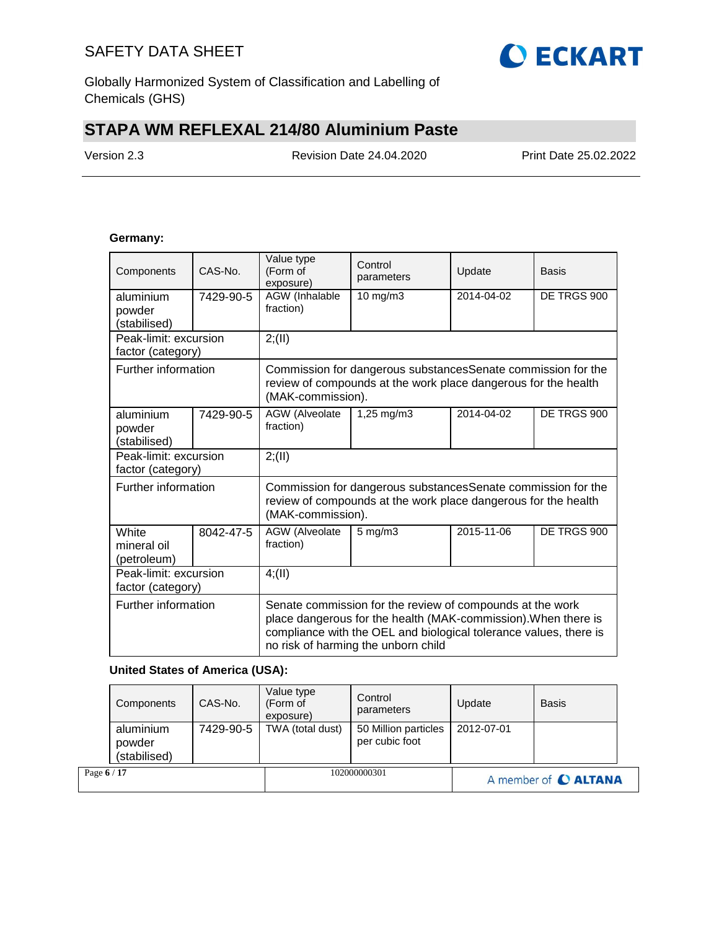

Globally Harmonized System of Classification and Labelling of Chemicals (GHS)

# **STAPA WM REFLEXAL 214/80 Aluminium Paste**

Version 2.3 Revision Date 24.04.2020 Print Date 25.02.2022

#### **Germany:**

| Components                                 | CAS-No.   | Value type<br>(Form of<br>exposure)                                                                                                                                                                                                     | Control<br>parameters                                                                                                                               | Update     | Basis       |  |  |
|--------------------------------------------|-----------|-----------------------------------------------------------------------------------------------------------------------------------------------------------------------------------------------------------------------------------------|-----------------------------------------------------------------------------------------------------------------------------------------------------|------------|-------------|--|--|
| aluminium<br>powder<br>(stabilised)        | 7429-90-5 | AGW (Inhalable<br>fraction)                                                                                                                                                                                                             | 10 mg/m3                                                                                                                                            | 2014-04-02 | DE TRGS 900 |  |  |
| Peak-limit: excursion<br>factor (category) |           | 2; (II)                                                                                                                                                                                                                                 |                                                                                                                                                     |            |             |  |  |
| Further information                        |           |                                                                                                                                                                                                                                         | Commission for dangerous substancesSenate commission for the<br>review of compounds at the work place dangerous for the health<br>(MAK-commission). |            |             |  |  |
| aluminium<br>powder<br>(stabilised)        | 7429-90-5 | AGW (Alveolate<br>fraction)                                                                                                                                                                                                             | 1,25 mg/m3                                                                                                                                          | 2014-04-02 | DE TRGS 900 |  |  |
| Peak-limit: excursion<br>factor (category) |           | 2; (II)                                                                                                                                                                                                                                 |                                                                                                                                                     |            |             |  |  |
| Further information                        |           | Commission for dangerous substances Senate commission for the<br>review of compounds at the work place dangerous for the health<br>(MAK-commission).                                                                                    |                                                                                                                                                     |            |             |  |  |
| White<br>mineral oil<br>(petroleum)        | 8042-47-5 | AGW (Alveolate<br>fraction)                                                                                                                                                                                                             | $5$ mg/m $3$                                                                                                                                        | 2015-11-06 | DE TRGS 900 |  |  |
| Peak-limit: excursion<br>factor (category) |           | 4; (II)                                                                                                                                                                                                                                 |                                                                                                                                                     |            |             |  |  |
| Further information                        |           | Senate commission for the review of compounds at the work<br>place dangerous for the health (MAK-commission). When there is<br>compliance with the OEL and biological tolerance values, there is<br>no risk of harming the unborn child |                                                                                                                                                     |            |             |  |  |

#### **United States of America (USA):**

|             | Components<br>aluminium | CAS-No.<br>7429-90-5 | Value type<br>(Form of<br>exposure)<br>TWA (total dust) | Control<br>parameters<br>50 Million particles<br>per cubic foot | Update<br>2012-07-01 | <b>Basis</b>         |  |
|-------------|-------------------------|----------------------|---------------------------------------------------------|-----------------------------------------------------------------|----------------------|----------------------|--|
|             | powder<br>(stabilised)  |                      |                                                         |                                                                 |                      |                      |  |
| Page 6 / 17 |                         |                      |                                                         | 102000000301                                                    |                      | A member of C ALTANA |  |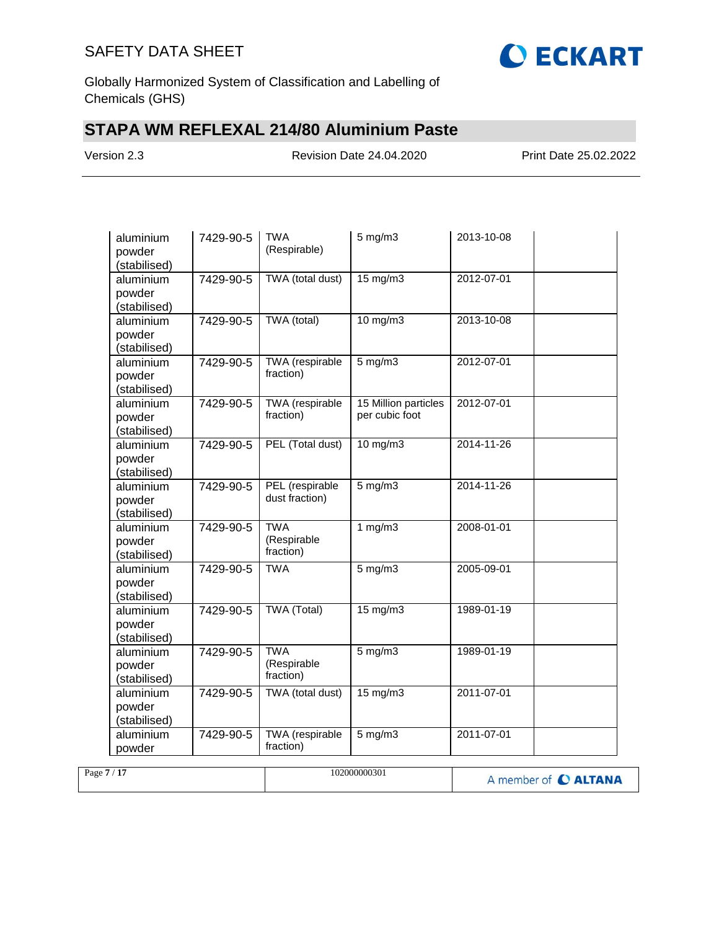

Globally Harmonized System of Classification and Labelling of Chemicals (GHS)

# **STAPA WM REFLEXAL 214/80 Aluminium Paste**

Version 2.3 Revision Date 24.04.2020 Print Date 25.02.2022

| aluminium<br>powder<br>(stabilised) | 7429-90-5 | <b>TWA</b><br>(Respirable)             | $5$ mg/m $3$                           | 2013-10-08       |  |
|-------------------------------------|-----------|----------------------------------------|----------------------------------------|------------------|--|
| aluminium<br>powder<br>(stabilised) | 7429-90-5 | TWA (total dust)                       | 15 mg/m3                               | 2012-07-01       |  |
| aluminium<br>powder<br>(stabilised) | 7429-90-5 | TWA (total)                            | 10 mg/m3                               | 2013-10-08       |  |
| aluminium<br>powder<br>(stabilised) | 7429-90-5 | <b>TWA</b> (respirable<br>fraction)    | $5$ mg/m $3$                           | 2012-07-01       |  |
| aluminium<br>powder<br>(stabilised) | 7429-90-5 | TWA (respirable<br>fraction)           | 15 Million particles<br>per cubic foot | 2012-07-01       |  |
| aluminium<br>powder<br>(stabilised) | 7429-90-5 | PEL (Total dust)                       | 10 mg/m3                               | 2014-11-26       |  |
| aluminium<br>powder<br>(stabilised) | 7429-90-5 | PEL (respirable<br>dust fraction)      | $5$ mg/m $3$                           | 2014-11-26       |  |
| aluminium<br>powder<br>(stabilised) | 7429-90-5 | <b>TWA</b><br>(Respirable<br>fraction) | 1 $mg/m3$                              | 2008-01-01       |  |
| aluminium<br>powder<br>(stabilised) | 7429-90-5 | <b>TWA</b>                             | $5$ mg/m $3$                           | 2005-09-01       |  |
| aluminium<br>powder<br>(stabilised) | 7429-90-5 | TWA (Total)                            | 15 mg/m3                               | 1989-01-19       |  |
| aluminium<br>powder<br>(stabilised) | 7429-90-5 | <b>TWA</b><br>(Respirable<br>fraction) | $5$ mg/m $3$                           | 1989-01-19       |  |
| aluminium<br>powder<br>(stabilised) | 7429-90-5 | TWA (total dust)                       | 15 mg/m3                               | $2011 - 07 - 01$ |  |
| aluminium<br>powder                 | 7429-90-5 | TWA (respirable<br>fraction)           | $5$ mg/m $3$                           | 2011-07-01       |  |

| Page $7/17$ | 102000000301 | A member of C ALTANA |
|-------------|--------------|----------------------|
|             |              |                      |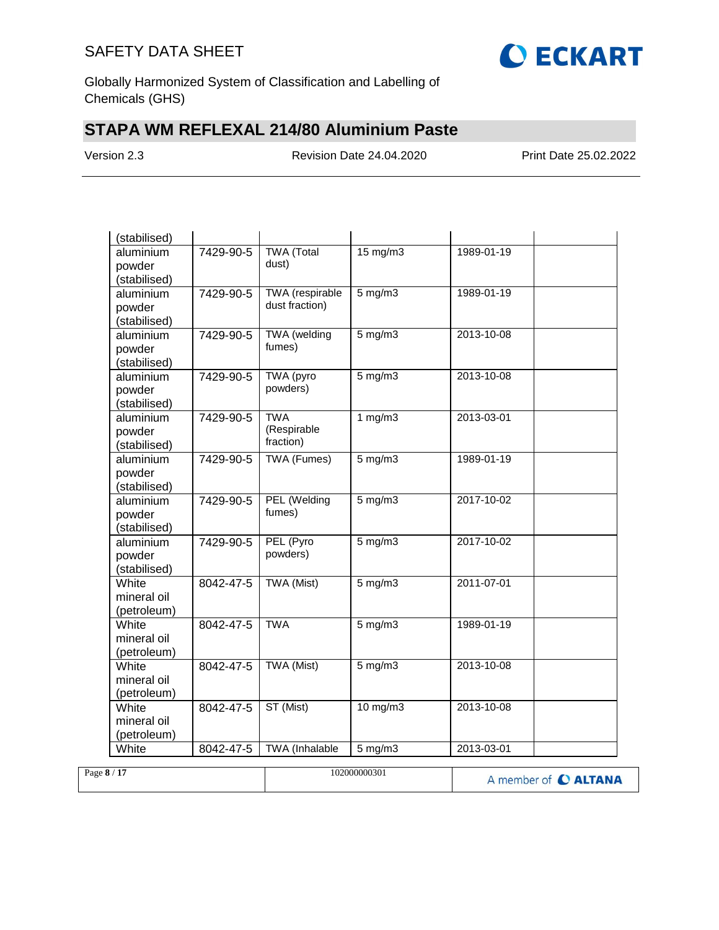

Globally Harmonized System of Classification and Labelling of Chemicals (GHS)

# **STAPA WM REFLEXAL 214/80 Aluminium Paste**

Version 2.3 Revision Date 24.04.2020 Print Date 25.02.2022

| (stabilised) |           |                          |                   |            |
|--------------|-----------|--------------------------|-------------------|------------|
| aluminium    | 7429-90-5 | <b>TWA</b> (Total        | $15 \text{ mg/m}$ | 1989-01-19 |
| powder       |           | dust)                    |                   |            |
| (stabilised) |           |                          |                   |            |
| aluminium    | 7429-90-5 | <b>TWA</b> (respirable   | $5$ mg/m $3$      | 1989-01-19 |
| powder       |           | dust fraction)           |                   |            |
| (stabilised) |           |                          |                   |            |
| aluminium    | 7429-90-5 | <b>TWA</b> (welding      | $5 \text{ mg/m}$  | 2013-10-08 |
| powder       |           | fumes)                   |                   |            |
| (stabilised) |           |                          |                   |            |
| aluminium    | 7429-90-5 | TWA (pyro                | $5$ mg/m $3$      | 2013-10-08 |
| powder       |           | powders)                 |                   |            |
| (stabilised) |           |                          |                   |            |
| aluminium    | 7429-90-5 | <b>TWA</b>               | 1 mg/m3           | 2013-03-01 |
| powder       |           | (Respirable<br>fraction) |                   |            |
| (stabilised) |           |                          |                   |            |
| aluminium    | 7429-90-5 | <b>TWA (Fumes)</b>       | $5$ mg/m $3$      | 1989-01-19 |
| powder       |           |                          |                   |            |
| (stabilised) |           |                          |                   |            |
| aluminium    | 7429-90-5 | PEL (Welding             | $5$ mg/m $3$      | 2017-10-02 |
| powder       |           | fumes)                   |                   |            |
| (stabilised) |           |                          |                   |            |
| aluminium    | 7429-90-5 | PEL (Pyro                | $5$ mg/m $3$      | 2017-10-02 |
| powder       |           | powders)                 |                   |            |
| (stabilised) |           |                          |                   |            |
| White        | 8042-47-5 | <b>TWA (Mist)</b>        | $5$ mg/m $3$      | 2011-07-01 |
| mineral oil  |           |                          |                   |            |
| (petroleum)  |           |                          |                   |            |
| White        | 8042-47-5 | <b>TWA</b>               | $5$ mg/m $3$      | 1989-01-19 |
| mineral oil  |           |                          |                   |            |
| (petroleum)  |           |                          |                   |            |
| White        | 8042-47-5 | TWA (Mist)               | $5$ mg/m $3$      | 2013-10-08 |
| mineral oil  |           |                          |                   |            |
| (petroleum)  |           |                          |                   |            |
| White        | 8042-47-5 | ST (Mist)                | $10$ mg/m $3$     | 2013-10-08 |
| mineral oil  |           |                          |                   |            |
| (petroleum)  |           |                          |                   |            |
| White        | 8042-47-5 | <b>TWA</b> (Inhalable    | $5$ mg/m $3$      | 2013-03-01 |

| Page 8 / 17 | 102000000301 | A member of C ALTANA |
|-------------|--------------|----------------------|
|             |              |                      |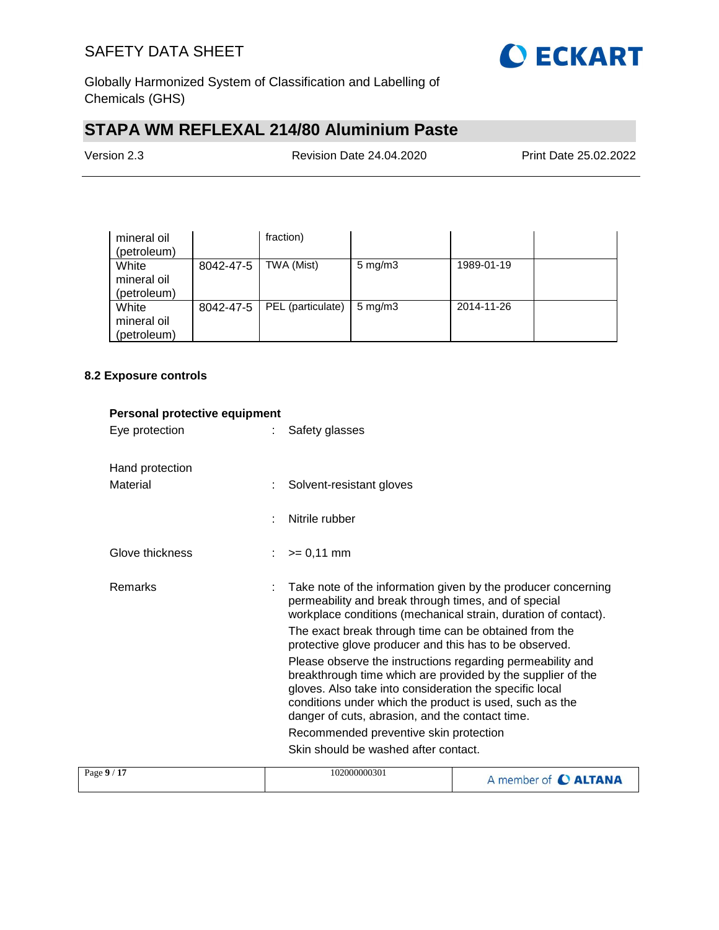

Globally Harmonized System of Classification and Labelling of Chemicals (GHS)

# **STAPA WM REFLEXAL 214/80 Aluminium Paste**

Version 2.3 Revision Date 24.04.2020 Print Date 25.02.2022

| mineral oil<br>(petroleum)          |           | fraction)         |                    |            |  |
|-------------------------------------|-----------|-------------------|--------------------|------------|--|
| White<br>mineral oil<br>(petroleum) | 8042-47-5 | TWA (Mist)        | $5 \text{ mg/m}$   | 1989-01-19 |  |
| White<br>mineral oil<br>(petroleum) | 8042-47-5 | PEL (particulate) | $5 \text{ mg/m}$ 3 | 2014-11-26 |  |

#### **8.2 Exposure controls**

| Personal protective equipment |                                                                                                                                                                                                                                                                                                                                              |                                                                                                                                                                                         |                      |
|-------------------------------|----------------------------------------------------------------------------------------------------------------------------------------------------------------------------------------------------------------------------------------------------------------------------------------------------------------------------------------------|-----------------------------------------------------------------------------------------------------------------------------------------------------------------------------------------|----------------------|
| Eye protection                |                                                                                                                                                                                                                                                                                                                                              | Safety glasses                                                                                                                                                                          |                      |
| Hand protection               |                                                                                                                                                                                                                                                                                                                                              |                                                                                                                                                                                         |                      |
| Material                      |                                                                                                                                                                                                                                                                                                                                              | Solvent-resistant gloves                                                                                                                                                                |                      |
|                               | ÷                                                                                                                                                                                                                                                                                                                                            | Nitrile rubber                                                                                                                                                                          |                      |
| Glove thickness               |                                                                                                                                                                                                                                                                                                                                              | $>= 0,11$ mm                                                                                                                                                                            |                      |
| <b>Remarks</b>                |                                                                                                                                                                                                                                                                                                                                              | Take note of the information given by the producer concerning<br>permeability and break through times, and of special<br>workplace conditions (mechanical strain, duration of contact). |                      |
|                               |                                                                                                                                                                                                                                                                                                                                              | The exact break through time can be obtained from the<br>protective glove producer and this has to be observed.                                                                         |                      |
|                               | Please observe the instructions regarding permeability and<br>breakthrough time which are provided by the supplier of the<br>gloves. Also take into consideration the specific local<br>conditions under which the product is used, such as the<br>danger of cuts, abrasion, and the contact time.<br>Recommended preventive skin protection |                                                                                                                                                                                         |                      |
|                               |                                                                                                                                                                                                                                                                                                                                              |                                                                                                                                                                                         |                      |
|                               |                                                                                                                                                                                                                                                                                                                                              | Skin should be washed after contact.                                                                                                                                                    |                      |
| Page 9 / 17                   |                                                                                                                                                                                                                                                                                                                                              | 102000000301                                                                                                                                                                            | A member of C ALTANA |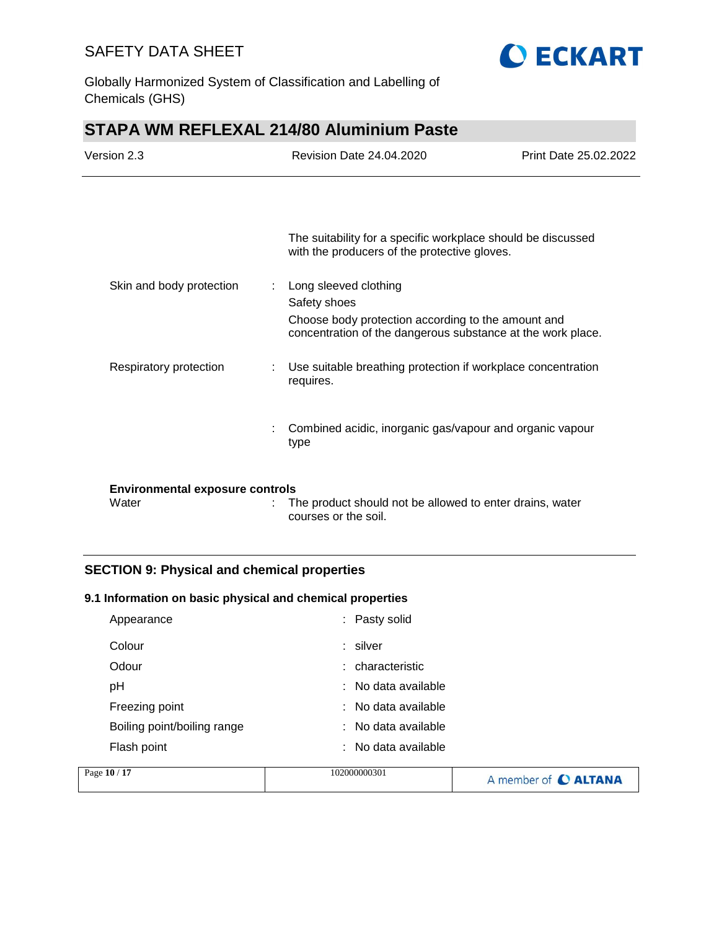

Globally Harmonized System of Classification and Labelling of Chemicals (GHS)

# **STAPA WM REFLEXAL 214/80 Aluminium Paste**

| Version 2.3                                     | <b>Revision Date 24.04.2020</b>                                                                                                                                 | Print Date 25.02.2022 |
|-------------------------------------------------|-----------------------------------------------------------------------------------------------------------------------------------------------------------------|-----------------------|
|                                                 |                                                                                                                                                                 |                       |
|                                                 | The suitability for a specific workplace should be discussed<br>with the producers of the protective gloves.                                                    |                       |
| Skin and body protection                        | Long sleeved clothing<br>÷<br>Safety shoes<br>Choose body protection according to the amount and<br>concentration of the dangerous substance at the work place. |                       |
| Respiratory protection                          | Use suitable breathing protection if workplace concentration<br>requires.                                                                                       |                       |
| ÷                                               | Combined acidic, inorganic gas/vapour and organic vapour<br>type                                                                                                |                       |
| <b>Environmental exposure controls</b><br>Water | The product should not be allowed to enter drains, water<br>courses or the soil.                                                                                |                       |

## **SECTION 9: Physical and chemical properties**

#### **9.1 Information on basic physical and chemical properties**

| Appearance                  | : Pasty solid       |
|-----------------------------|---------------------|
| Colour                      | : silver            |
| Odour                       | : characteristic    |
| рH                          | : No data available |
| Freezing point              | : No data available |
| Boiling point/boiling range | : No data available |
| Flash point                 | : No data available |

| Page 10 / 17 | 102000000301 | A member of C ALTANA |
|--------------|--------------|----------------------|
|              |              |                      |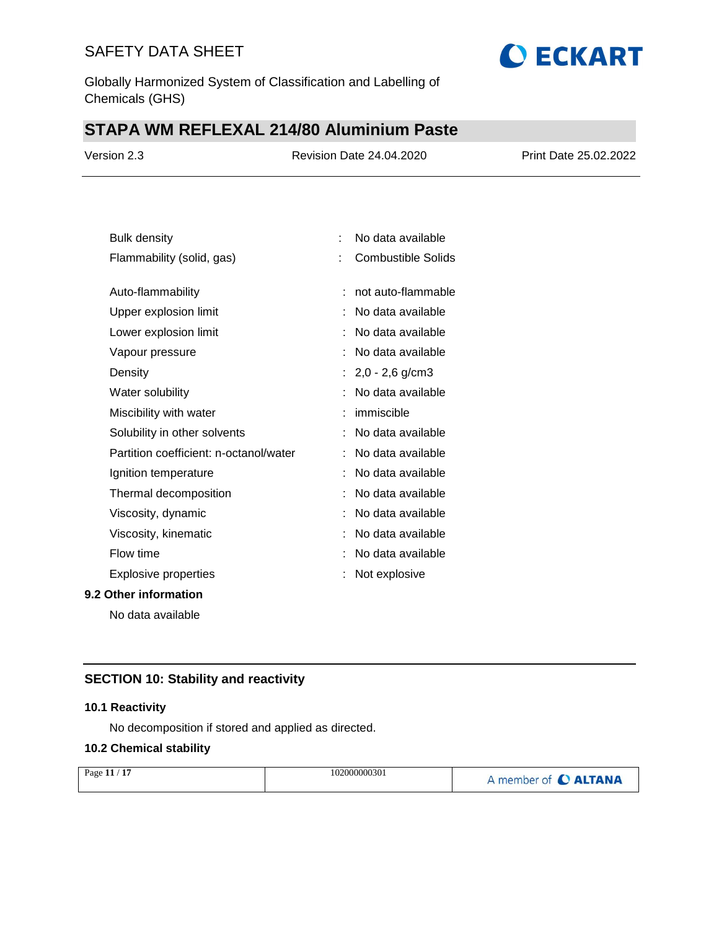Globally Harmonized System of Classification and Labelling of Chemicals (GHS)

# **STAPA WM REFLEXAL 214/80 Aluminium Paste**

| Version 2.3 | <b>Revision Date 24.04.2020</b> | Print Date 25.02.2022 |
|-------------|---------------------------------|-----------------------|
|             |                                 |                       |

**O ECKART** 

| <b>Bulk density</b>                    | t. | No data available         |
|----------------------------------------|----|---------------------------|
| Flammability (solid, gas)              | t  | <b>Combustible Solids</b> |
| Auto-flammability                      |    | not auto-flammable        |
|                                        |    |                           |
| Upper explosion limit                  |    | No data available         |
| Lower explosion limit                  |    | No data available         |
| Vapour pressure                        |    | No data available         |
| Density                                |    | $2,0 - 2,6$ g/cm3         |
| Water solubility                       |    | No data available         |
| Miscibility with water                 |    | immiscible                |
| Solubility in other solvents           |    | No data available         |
| Partition coefficient: n-octanol/water |    | No data available         |
| Ignition temperature                   |    | No data available         |
| Thermal decomposition                  |    | No data available         |
| Viscosity, dynamic                     |    | No data available         |
| Viscosity, kinematic                   |    | No data available         |
| Flow time                              |    | No data available         |
| <b>Explosive properties</b>            |    | Not explosive             |
| 9.2 Other information                  |    |                           |

No data available

## **SECTION 10: Stability and reactivity**

#### **10.1 Reactivity**

No decomposition if stored and applied as directed.

#### **10.2 Chemical stability**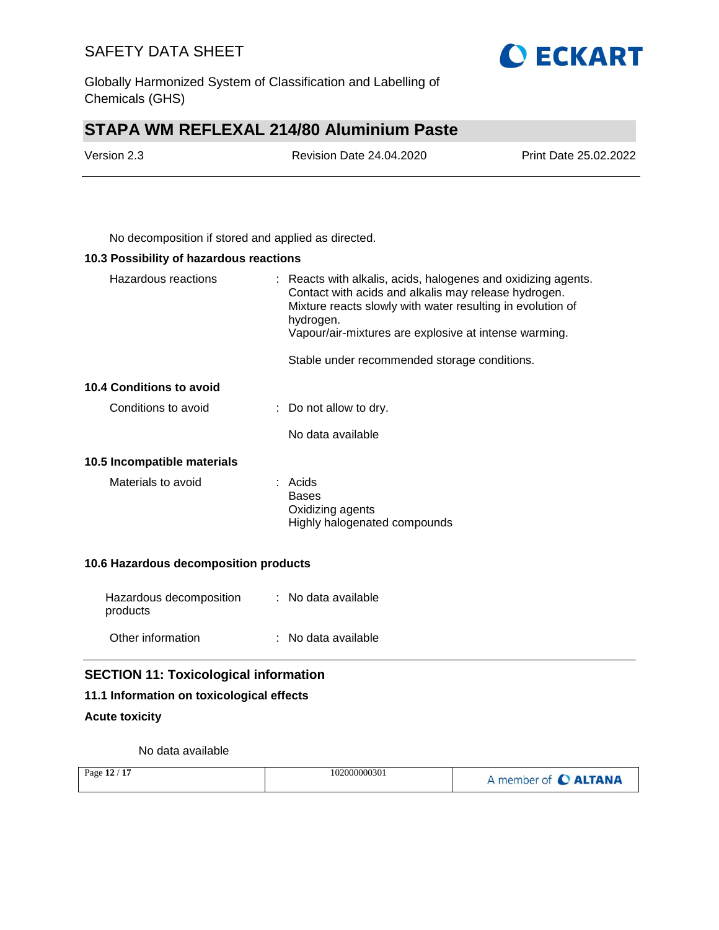Globally Harmonized System of Classification and Labelling of Chemicals (GHS)

# **STAPA WM REFLEXAL 214/80 Aluminium Paste**

| Version 2.3 | <b>Revision Date 24.04.2020</b> | Print Date 25.02.2022 |
|-------------|---------------------------------|-----------------------|
|             |                                 |                       |

No decomposition if stored and applied as directed.

#### **10.3 Possibility of hazardous reactions**

| Hazardous reactions             | : Reacts with alkalis, acids, halogenes and oxidizing agents.<br>Contact with acids and alkalis may release hydrogen.<br>Mixture reacts slowly with water resulting in evolution of<br>hydrogen.<br>Vapour/air-mixtures are explosive at intense warming. |
|---------------------------------|-----------------------------------------------------------------------------------------------------------------------------------------------------------------------------------------------------------------------------------------------------------|
|                                 | Stable under recommended storage conditions.                                                                                                                                                                                                              |
| <b>10.4 Conditions to avoid</b> |                                                                                                                                                                                                                                                           |
| Conditions to avoid             | $\therefore$ Do not allow to dry.                                                                                                                                                                                                                         |
|                                 | No data available                                                                                                                                                                                                                                         |
| 10.5 Incompatible materials     |                                                                                                                                                                                                                                                           |
| Materials to avoid              | : Acids<br><b>Bases</b><br>Oxidizing agents<br>Highly halogenated compounds                                                                                                                                                                               |

### **10.6 Hazardous decomposition products**

| Hazardous decomposition<br>products | : No data available |
|-------------------------------------|---------------------|
| Other information                   | : No data available |

## **SECTION 11: Toxicological information**

#### **11.1 Information on toxicological effects**

## **Acute toxicity**

No data available

| Page 12 / 17 | 102000000301 | A member of C ALTANA |
|--------------|--------------|----------------------|
|--------------|--------------|----------------------|

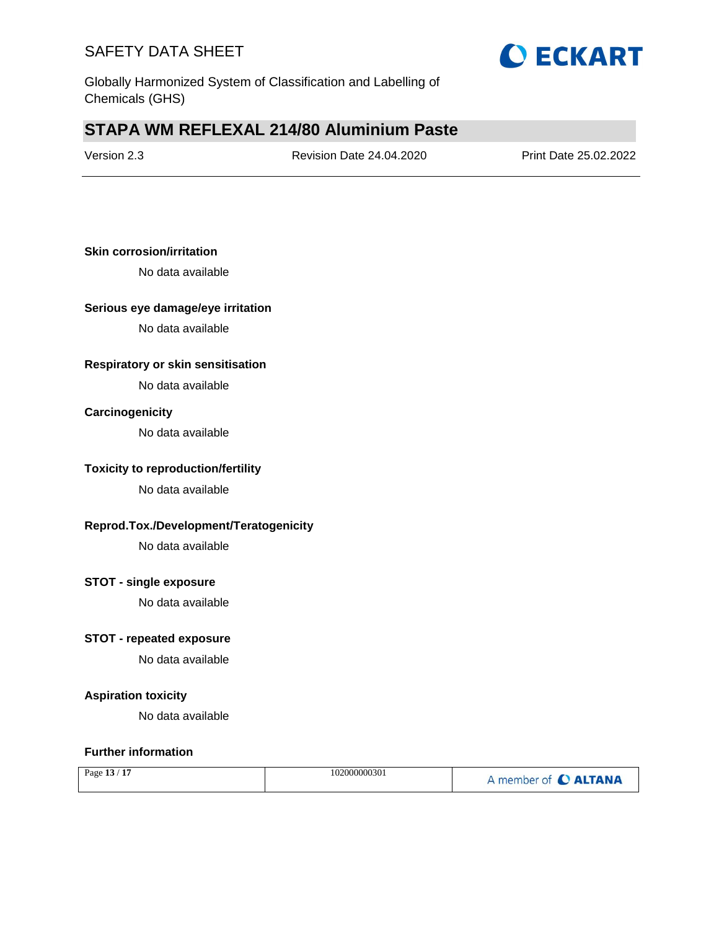

Globally Harmonized System of Classification and Labelling of Chemicals (GHS)

# **STAPA WM REFLEXAL 214/80 Aluminium Paste**

| Version 2.3 |  |
|-------------|--|
|-------------|--|

Revision Date 24.04.2020 Print Date 25.02.2022

#### **Skin corrosion/irritation**

No data available

#### **Serious eye damage/eye irritation**

No data available

#### **Respiratory or skin sensitisation**

No data available

#### **Carcinogenicity**

No data available

### **Toxicity to reproduction/fertility**

No data available

#### **Reprod.Tox./Development/Teratogenicity**

No data available

### **STOT - single exposure**

No data available

### **STOT - repeated exposure**

No data available

#### **Aspiration toxicity**

No data available

#### **Further information**

| $\sim$ 1 $\sim$<br>$\sim$<br>Page $13/$ | 102000000301 | member of C ALTANA |
|-----------------------------------------|--------------|--------------------|
|-----------------------------------------|--------------|--------------------|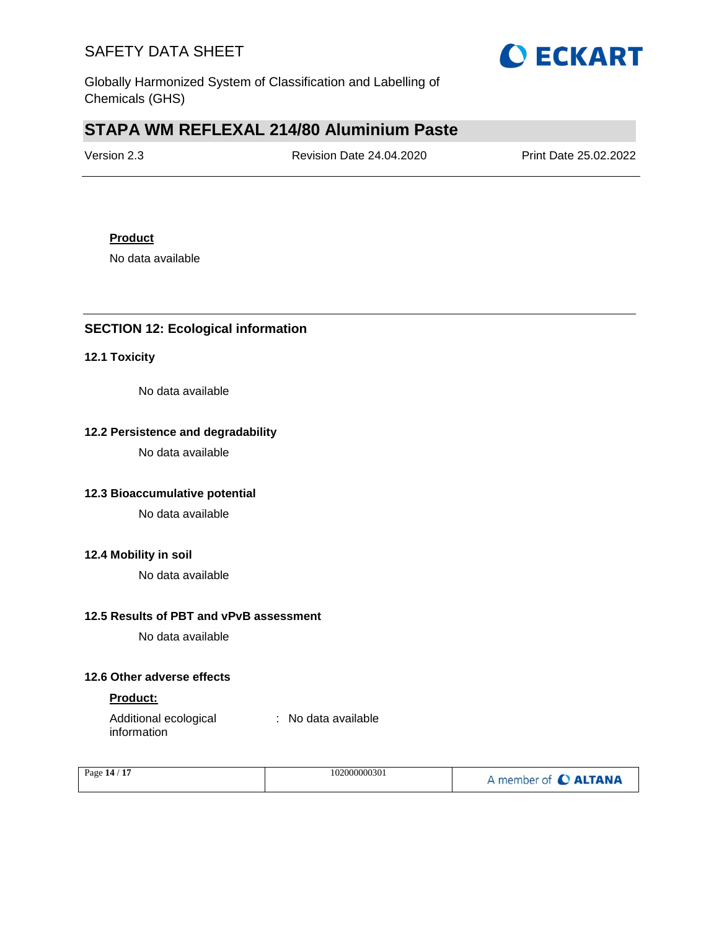

Globally Harmonized System of Classification and Labelling of Chemicals (GHS)

# **STAPA WM REFLEXAL 214/80 Aluminium Paste**

| Version 2.3 | <b>Revision Date 24.04.2020</b> | Print Date 25.02.2022 |
|-------------|---------------------------------|-----------------------|
|             |                                 |                       |

### **Product**

No data available

## **SECTION 12: Ecological information**

#### **12.1 Toxicity**

No data available

## **12.2 Persistence and degradability**

No data available

### **12.3 Bioaccumulative potential**

No data available

#### **12.4 Mobility in soil**

No data available

## **12.5 Results of PBT and vPvB assessment**

No data available

### **12.6 Other adverse effects**

### **Product:**

Additional ecological information : No data available

| Page 14 / 17 | 102000000301 | A member of C ALTANA |
|--------------|--------------|----------------------|
|              |              |                      |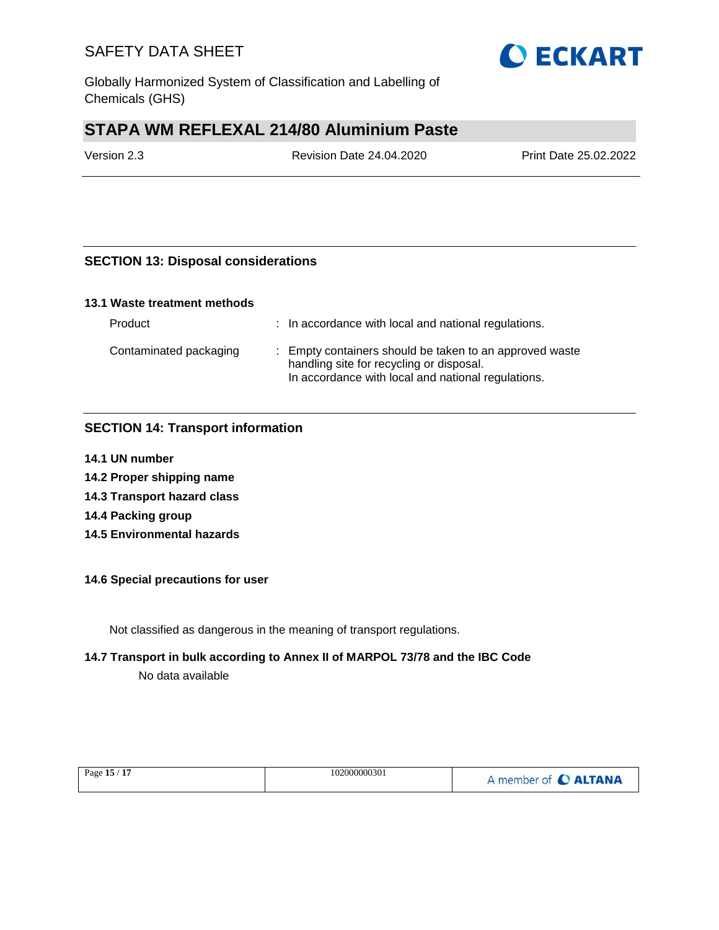Globally Harmonized System of Classification and Labelling of Chemicals (GHS)

# **STAPA WM REFLEXAL 214/80 Aluminium Paste**

Version 2.3 Revision Date 24.04.2020 Print Date 25.02.2022

## **SECTION 13: Disposal considerations**

#### **13.1 Waste treatment methods**

| Product                | : In accordance with local and national regulations.                                                                                                      |
|------------------------|-----------------------------------------------------------------------------------------------------------------------------------------------------------|
| Contaminated packaging | : Empty containers should be taken to an approved waste<br>handling site for recycling or disposal.<br>In accordance with local and national regulations. |

## **SECTION 14: Transport information**

- **14.1 UN number**
- **14.2 Proper shipping name**
- **14.3 Transport hazard class**
- **14.4 Packing group**
- **14.5 Environmental hazards**

#### **14.6 Special precautions for user**

Not classified as dangerous in the meaning of transport regulations.

#### **14.7 Transport in bulk according to Annex II of MARPOL 73/78 and the IBC Code**

No data available

| Page 15 / 17 | 102000000301 | A member of C ALTANA |
|--------------|--------------|----------------------|
|              |              |                      |

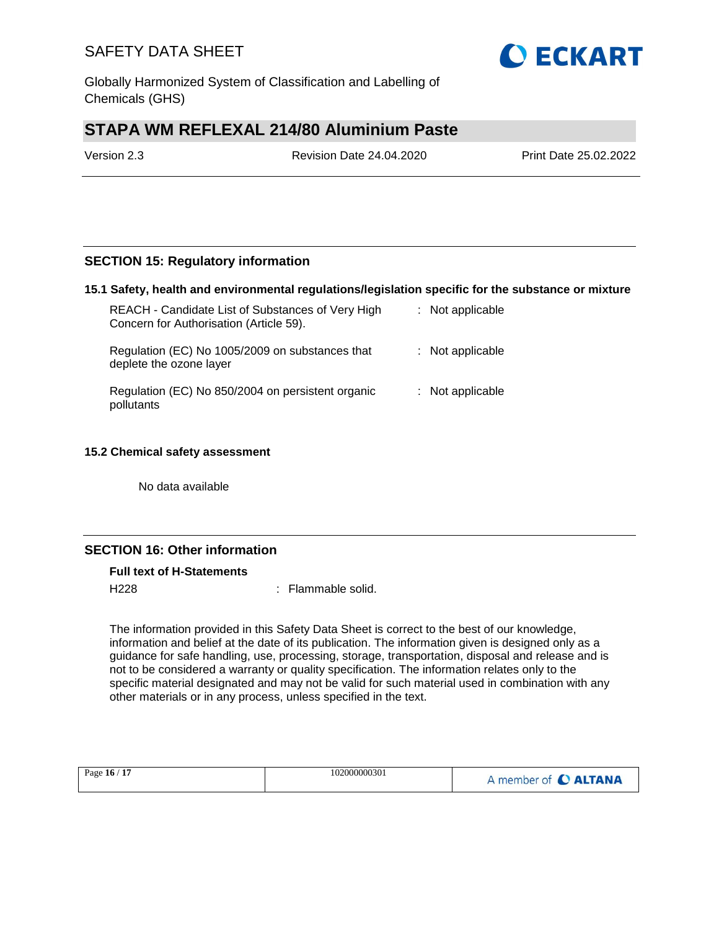Globally Harmonized System of Classification and Labelling of Chemicals (GHS)

# **STAPA WM REFLEXAL 214/80 Aluminium Paste**

Version 2.3 Revision Date 24.04.2020 Print Date 25.02.2022

### **SECTION 15: Regulatory information**

#### **15.1 Safety, health and environmental regulations/legislation specific for the substance or mixture**

| REACH - Candidate List of Substances of Very High<br>Concern for Authorisation (Article 59). | : Not applicable   |
|----------------------------------------------------------------------------------------------|--------------------|
| Regulation (EC) No 1005/2009 on substances that<br>deplete the ozone layer                   | $:$ Not applicable |
| Regulation (EC) No 850/2004 on persistent organic<br>pollutants                              | : Not applicable   |

#### **15.2 Chemical safety assessment**

No data available

## **SECTION 16: Other information**

#### **Full text of H-Statements**

H<sub>228</sub> : Flammable solid.

The information provided in this Safety Data Sheet is correct to the best of our knowledge, information and belief at the date of its publication. The information given is designed only as a guidance for safe handling, use, processing, storage, transportation, disposal and release and is not to be considered a warranty or quality specification. The information relates only to the specific material designated and may not be valid for such material used in combination with any other materials or in any process, unless specified in the text.

| Page 16 / 17 | 102000000301 | A member of C ALTANA |
|--------------|--------------|----------------------|
|              |              |                      |